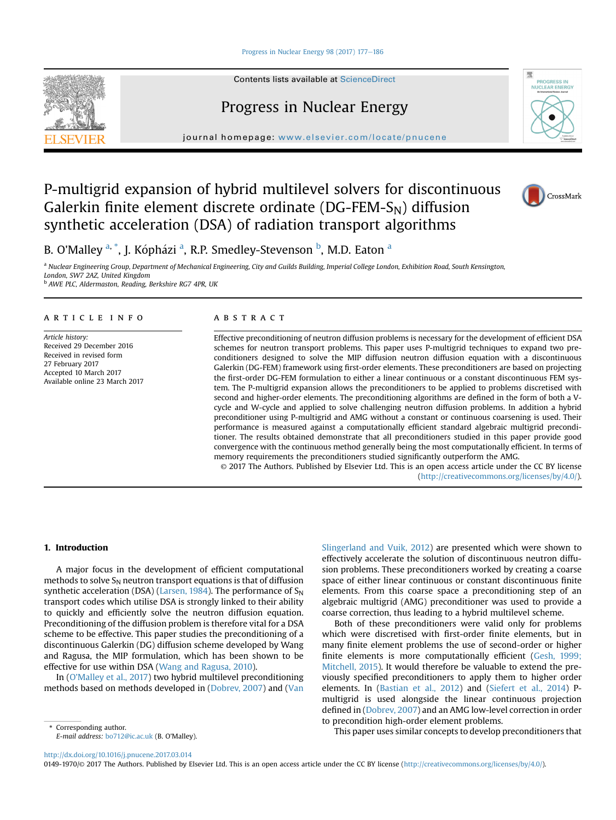#### [Progress in Nuclear Energy 98 \(2017\) 177](http://dx.doi.org/10.1016/j.pnucene.2017.03.014)-[186](http://dx.doi.org/10.1016/j.pnucene.2017.03.014)



Contents lists available at ScienceDirect

# Progress in Nuclear Energy

journal homepage: [www.elsevier.com/locate/pnucene](http://www.elsevier.com/locate/pnucene)

# P-multigrid expansion of hybrid multilevel solvers for discontinuous Galerkin finite element discrete ordinate ( $DG$ -FEM- $S_N$ ) diffusion synthetic acceleration (DSA) of radiation transport algorithms





B. O'Malley <sup>a, \*</sup>, J. Kópházi <sup>a</sup>, R.P. Smedley-Stevenson <sup>b</sup>, M.D. Eaton <sup>a</sup>

a Nuclear Engineering Group, Department of Mechanical Engineering, City and Guilds Building, Imperial College London, Exhibition Road, South Kensington, London, SW7 2AZ, United Kingdom

<sup>b</sup> AWE PLC, Aldermaston, Reading, Berkshire RG7 4PR, UK

# article info

Article history: Received 29 December 2016 Received in revised form 27 February 2017 Accepted 10 March 2017 Available online 23 March 2017

# **ABSTRACT**

Effective preconditioning of neutron diffusion problems is necessary for the development of efficient DSA schemes for neutron transport problems. This paper uses P-multigrid techniques to expand two preconditioners designed to solve the MIP diffusion neutron diffusion equation with a discontinuous Galerkin (DG-FEM) framework using first-order elements. These preconditioners are based on projecting the first-order DG-FEM formulation to either a linear continuous or a constant discontinuous FEM system. The P-multigrid expansion allows the preconditioners to be applied to problems discretised with second and higher-order elements. The preconditioning algorithms are defined in the form of both a Vcycle and W-cycle and applied to solve challenging neutron diffusion problems. In addition a hybrid preconditioner using P-multigrid and AMG without a constant or continuous coarsening is used. Their performance is measured against a computationally efficient standard algebraic multigrid preconditioner. The results obtained demonstrate that all preconditioners studied in this paper provide good convergence with the continuous method generally being the most computationally efficient. In terms of memory requirements the preconditioners studied significantly outperform the AMG.

© 2017 The Authors. Published by Elsevier Ltd. This is an open access article under the CC BY license [\(http://creativecommons.org/licenses/by/4.0/](http://creativecommons.org/licenses/by/4.0/)).

# 1. Introduction

A major focus in the development of efficient computational methods to solve  $S_N$  neutron transport equations is that of diffusion synthetic acceleration (DSA) [\(Larsen, 1984](#page-9-0)). The performance of  $S_N$ transport codes which utilise DSA is strongly linked to their ability to quickly and efficiently solve the neutron diffusion equation. Preconditioning of the diffusion problem is therefore vital for a DSA scheme to be effective. This paper studies the preconditioning of a discontinuous Galerkin (DG) diffusion scheme developed by Wang and Ragusa, the MIP formulation, which has been shown to be effective for use within DSA ([Wang and Ragusa, 2010](#page-9-0)).

In [\(O'Malley et al., 2017](#page-9-0)) two hybrid multilevel preconditioning methods based on methods developed in ([Dobrev, 2007](#page-9-0)) and ([Van](#page-9-0)

E-mail address: [bo712@ic.ac.uk](mailto:bo712@ic.ac.uk) (B. O'Malley).

[Slingerland and Vuik, 2012\)](#page-9-0) are presented which were shown to effectively accelerate the solution of discontinuous neutron diffusion problems. These preconditioners worked by creating a coarse space of either linear continuous or constant discontinuous finite elements. From this coarse space a preconditioning step of an algebraic multigrid (AMG) preconditioner was used to provide a coarse correction, thus leading to a hybrid multilevel scheme.

Both of these preconditioners were valid only for problems which were discretised with first-order finite elements, but in many finite element problems the use of second-order or higher finite elements is more computationally efficient [\(Gesh, 1999;](#page-9-0) [Mitchell, 2015\)](#page-9-0). It would therefore be valuable to extend the previously specified preconditioners to apply them to higher order elements. In [\(Bastian et al., 2012](#page-9-0)) and ([Siefert et al., 2014](#page-9-0)) Pmultigrid is used alongside the linear continuous projection defined in ([Dobrev, 2007\)](#page-9-0) and an AMG low-level correction in order to precondition high-order element problems.

Corresponding author.<br>
This paper uses similar concepts to develop preconditioners that

<http://dx.doi.org/10.1016/j.pnucene.2017.03.014>

0149-1970/© 2017 The Authors. Published by Elsevier Ltd. This is an open access article under the CC BY license (<http://creativecommons.org/licenses/by/4.0/>).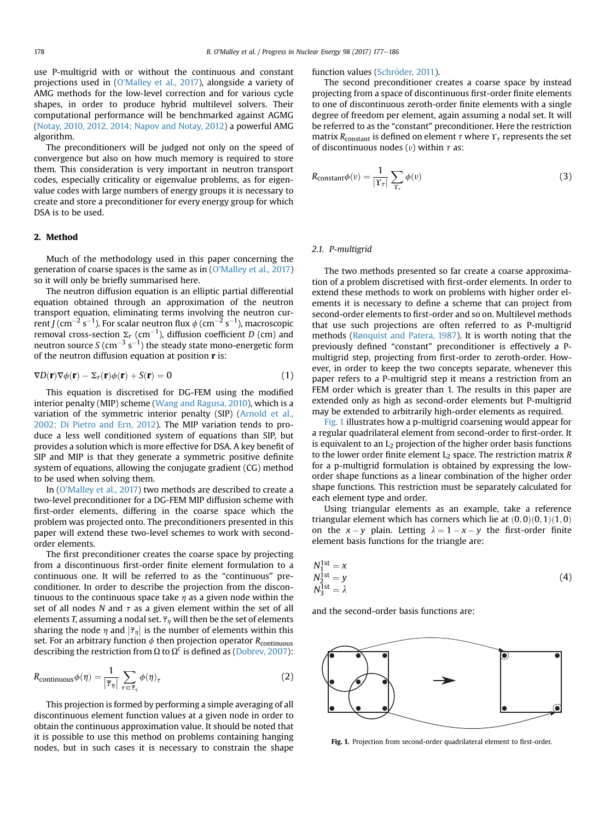use P-multigrid with or without the continuous and constant projections used in [\(O'Malley et al., 2017](#page-9-0)), alongside a variety of AMG methods for the low-level correction and for various cycle shapes, in order to produce hybrid multilevel solvers. Their computational performance will be benchmarked against AGMG ([Notay, 2010, 2012, 2014; Napov and Notay, 2012\)](#page-9-0) a powerful AMG algorithm.

The preconditioners will be judged not only on the speed of convergence but also on how much memory is required to store them. This consideration is very important in neutron transport codes, especially criticality or eigenvalue problems, as for eigenvalue codes with large numbers of energy groups it is necessary to create and store a preconditioner for every energy group for which DSA is to be used.

# 2. Method

Much of the methodology used in this paper concerning the generation of coarse spaces is the same as in ([O'Malley et al., 2017\)](#page-9-0) so it will only be briefly summarised here.

The neutron diffusion equation is an elliptic partial differential equation obtained through an approximation of the neutron transport equation, eliminating terms involving the neutron current J (cm $^{-2}$  s $^{-1}$ ). For scalar neutron flux  $\phi$  (cm $^{-2}$  s $^{-1}$ ), macroscopic removal cross-section  $\Sigma_r$  (cm $^{-1}$ ), diffusion coefficient D (cm) and neutron source S (cm $^{-3}$  s $^{-1}$ ) the steady state mono-energetic form of the neutron diffusion equation at position  $\mathbf r$  is:

$$
\nabla D(\mathbf{r}) \nabla \phi(\mathbf{r}) - \Sigma_r(\mathbf{r}) \phi(\mathbf{r}) + S(\mathbf{r}) = 0 \tag{1}
$$

This equation is discretised for DG-FEM using the modified interior penalty (MIP) scheme [\(Wang and Ragusa, 2010](#page-9-0)), which is a variation of the symmetric interior penalty (SIP) [\(Arnold et al.,](#page-9-0) [2002; Di Pietro and Ern, 2012\)](#page-9-0). The MIP variation tends to produce a less well conditioned system of equations than SIP, but provides a solution which is more effective for DSA. A key benefit of SIP and MIP is that they generate a symmetric positive definite system of equations, allowing the conjugate gradient (CG) method to be used when solving them.

In ([O'Malley et al., 2017](#page-9-0)) two methods are described to create a two-level preconditioner for a DG-FEM MIP diffusion scheme with first-order elements, differing in the coarse space which the problem was projected onto. The preconditioners presented in this paper will extend these two-level schemes to work with secondorder elements.

The first preconditioner creates the coarse space by projecting from a discontinuous first-order finite element formulation to a continuous one. It will be referred to as the "continuous" preconditioner. In order to describe the projection from the discontinuous to the continuous space take  $\eta$  as a given node within the set of all nodes N and  $\tau$  as a given element within the set of all elements T, assuming a nodal set.  $\overline{\tau}_n$  will then be the set of elements sharing the node  $\eta$  and  $|\overline{\tau}_{\eta}|$  is the number of elements within this set. For an arbitrary function  $\phi$  then projection operator  $R_{\text{continuous}}$ describing the restriction from  $\Omega$  to  $\Omega^c$  is defined as [\(Dobrev, 2007](#page-9-0)):

$$
R_{\text{continuous}}\phi(\eta) = \frac{1}{|\overline{\tau}_{\eta}|} \sum_{\tau \in \overline{\tau}_{\eta}} \phi(\eta)_{\tau}
$$
 (2)

This projection is formed by performing a simple averaging of all discontinuous element function values at a given node in order to obtain the continuous approximation value. It should be noted that it is possible to use this method on problems containing hanging nodes, but in such cases it is necessary to constrain the shape

# function values (Schröder, 2011).

The second preconditioner creates a coarse space by instead projecting from a space of discontinuous first-order finite elements to one of discontinuous zeroth-order finite elements with a single degree of freedom per element, again assuming a nodal set. It will be referred to as the "constant" preconditioner. Here the restriction matrix  $R_{\text{constant}}$  is defined on element  $\tau$  where  $\Upsilon_{\tau}$  represents the set of discontinuous nodes (*v*) within  $\tau$  as:

$$
R_{\text{constant}}\phi(v) = \frac{1}{|\Upsilon_{\tau}|} \sum_{\Upsilon_{\tau}} \phi(v) \tag{3}
$$

# 2.1. P-multigrid

The two methods presented so far create a coarse approximation of a problem discretised with first-order elements. In order to extend these methods to work on problems with higher order elements it is necessary to define a scheme that can project from second-order elements to first-order and so on. Multilevel methods that use such projections are often referred to as P-multigrid methods [\(R](#page-9-0)ø[nquist and Patera, 1987\)](#page-9-0). It is worth noting that the previously defined "constant" preconditioner is effectively a Pmultigrid step, projecting from first-order to zeroth-order. However, in order to keep the two concepts separate, whenever this paper refers to a P-multigrid step it means a restriction from an FEM order which is greater than 1. The results in this paper are extended only as high as second-order elements but P-multigrid may be extended to arbitrarily high-order elements as required.

Fig. 1 illustrates how a p-multigrid coarsening would appear for a regular quadrilateral element from second-order to first-order. It is equivalent to an  $L_2$  projection of the higher order basis functions to the lower order finite element  $L_2$  space. The restriction matrix  $R$ for a p-multigrid formulation is obtained by expressing the loworder shape functions as a linear combination of the higher order shape functions. This restriction must be separately calculated for each element type and order.

Using triangular elements as an example, take a reference triangular element which has corners which lie at  $(0, 0)(0, 1)(1, 0)$ on the  $x - y$  plain. Letting  $\lambda = 1 - x - y$  the first-order finite element basis functions for the triangle are:

$$
N_1^{1st} = x
$$
  
\n
$$
N_2^{1st} = y
$$
  
\n
$$
N_3^{1st} = \lambda
$$
\n(4)

and the second-order basis functions are:



Fig. 1. Projection from second-order quadrilateral element to first-order.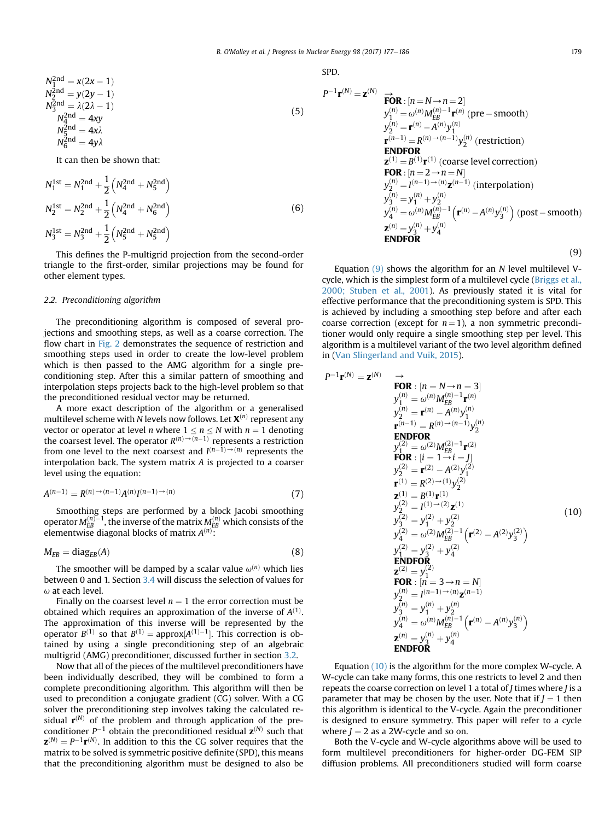<span id="page-2-0"></span>
$$
N_1^{2nd} = x(2x - 1)
$$
  
\n
$$
N_2^{2nd} = y(2y - 1)
$$
  
\n
$$
N_3^{2nd} = \lambda(2\lambda - 1)
$$
  
\n
$$
N_4^{2nd} = 4xy
$$
  
\n
$$
N_5^{2nd} = 4x\lambda
$$
  
\n
$$
N_6^{2nd} = 4y\lambda
$$
  
\n(5)

It can then be shown that:

$$
N_1^{1st} = N_1^{2nd} + \frac{1}{2} \left( N_4^{2nd} + N_5^{2nd} \right)
$$
  
\n
$$
N_2^{1st} = N_2^{2nd} + \frac{1}{2} \left( N_4^{2nd} + N_6^{2nd} \right)
$$
  
\n
$$
N_3^{1st} = N_3^{2nd} + \frac{1}{2} \left( N_5^{2nd} + N_5^{2nd} \right)
$$
  
\n(6)

This defines the P-multigrid projection from the second-order triangle to the first-order, similar projections may be found for other element types.

### 2.2. Preconditioning algorithm

The preconditioning algorithm is composed of several projections and smoothing steps, as well as a coarse correction. The flow chart in [Fig. 2](#page-3-0) demonstrates the sequence of restriction and smoothing steps used in order to create the low-level problem which is then passed to the AMG algorithm for a single preconditioning step. After this a similar pattern of smoothing and interpolation steps projects back to the high-level problem so that the preconditioned residual vector may be returned.

A more exact description of the algorithm or a generalised multilevel scheme with N levels now follows. Let  $\mathbf{X}^{(n)}$  represent any vector or operator at level *n* where  $1 \le n \le N$  with  $n = 1$  denoting the coarsest level. The operator  $R^{(n)} \rightarrow (n-1)}$  represents a restriction from one level to the next coarsest and  $I^{(n-1)\to(n)}$  represents the interpolation back. The system matrix A is projected to a coarser level using the equation:

$$
A^{(n-1)} = R^{(n)} \to (n-1)A^{(n)}I^{(n-1)} \to (n)
$$
\n(7)

Smoothing steps are performed by a block Jacobi smoothing operator  $M_{EB}^{(n)-1}$ , the inverse of the matrix  $M_{EB}^{(n)}$  which consists of the elementwise diagonal blocks of matrix  $A^{(n)}$ :

$$
M_{EB} = \text{diag}_{EB}(A) \tag{8}
$$

The smoother will be damped by a scalar value  $\omega^{(n)}$  which lies between 0 and 1. Section [3.4](#page-4-0) will discuss the selection of values for  $\omega$  at each level.

Finally on the coarsest level  $n = 1$  the error correction must be obtained which requires an approximation of the inverse of  $A^{(1)}$ . The approximation of this inverse will be represented by the operator  $B^{(1)}$  so that  $B^{(1)} = \text{approx}[A^{(1)}-1]$ . This correction is obtained by using a single preconditioning step of an algebraic multigrid (AMG) preconditioner, discussed further in section [3.2.](#page-3-0)

Now that all of the pieces of the multilevel preconditioners have been individually described, they will be combined to form a complete preconditioning algorithm. This algorithm will then be used to precondition a conjugate gradient (CG) solver. With a CG solver the preconditioning step involves taking the calculated residual  $\mathbf{r}^{(N)}$  of the problem and through application of the preconditioner  $P^{-1}$  obtain the preconditioned residual  $\mathbf{z}^{(N)}$  such that  $\mathbf{z}^{(N)} = P^{-1} \mathbf{r}^{(N)}$ . In addition to this the CG solver requires that the matrix to be solved is symmetric positive definite (SPD), this means that the preconditioning algorithm must be designed to also be SPD.

$$
P^{-1} \mathbf{r}^{(N)} = \mathbf{z}^{(N)} \underset{y_1^{(n)}}{\rightarrow} \mathbf{FOR} : [n = N \rightarrow n = 2]
$$
  
\n
$$
y_1^{(n)} = \omega^{(n)} M_{EB}^{(n)-1} \mathbf{r}^{(n)} \text{ (pre-smooth)}
$$
  
\n
$$
y_2^{(n)} = \mathbf{r}^{(n)} - A^{(n)} y_1^{(n)}
$$
  
\n
$$
\mathbf{r}^{(n-1)} = R^{(n) \rightarrow (n-1)} y_2^{(n)} \text{ (restriction)}
$$
  
\n**ENDOR**  
\n
$$
\mathbf{z}^{(1)} = B^{(1)} \mathbf{r}^{(1)} \text{ (coarse level correction)}
$$
  
\n
$$
\mathbf{FOR} : [n = 2 \rightarrow n = N]
$$
  
\n
$$
y_2^{(n)} = I^{(n-1) \rightarrow (n)} \mathbf{z}^{(n-1)} \text{ (interpolation)}
$$
  
\n
$$
y_3^{(n)} = y_1^{(n)} + y_2^{(n)}
$$
  
\n
$$
y_4^{(n)} = \omega^{(n)} M_{EB}^{(n)-1} \left( \mathbf{r}^{(n)} - A^{(n)} y_3^{(n)} \right) \text{ (post-smooth)}
$$
  
\n
$$
\mathbf{z}^{(n)} = y_3^{(n)} + y_4^{(n)}
$$
  
\n**ENDFOR** (9)

Equation  $(9)$  shows the algorithm for an N level multilevel V-cycle, which is the simplest form of a multilevel cycle [\(Briggs et al.,](#page-9-0) [2000; Stuben et al., 2001](#page-9-0)). As previously stated it is vital for effective performance that the preconditioning system is SPD. This is achieved by including a smoothing step before and after each coarse correction (except for  $n = 1$ ), a non symmetric preconditioner would only require a single smoothing step per level. This algorithm is a multilevel variant of the two level algorithm defined in [\(Van Slingerland and Vuik, 2015](#page-9-0)).

$$
P^{-1} \mathbf{r}^{(N)} = \mathbf{z}^{(N)} \longrightarrow \mathbf{FOR}: [n = N \rightarrow n = 3]
$$
  
\n
$$
y_1^{(n)} = \omega^{(n)} M_{EB}^{(n)-1} \mathbf{r}^{(n)}
$$
  
\n
$$
y_2^{(n)} = \mathbf{r}^{(n)} - A^{(n)} y_1^{(n)}
$$
  
\n
$$
\mathbf{r}^{(n-1)} = R^{(n) \rightarrow (n-1)} y_2^{(n)}
$$
  
\n**ENDFOR**  
\n
$$
y_1^{(2)} = \omega^{(2)} M_{EB}^{(2)-1} \mathbf{r}^{(2)}
$$
  
\n
$$
\mathbf{FOR}: [i = 1 \rightarrow i = J]
$$
  
\n
$$
y_2^{(2)} = \mathbf{r}^{(2)} - A^{(2)} y_1^{(2)}
$$
  
\n
$$
\mathbf{r}^{(1)} = R^{(2) \rightarrow (1)} y_2^{(2)}
$$
  
\n
$$
\mathbf{z}^{(1)} = B^{(1)} \mathbf{r}^{(1)}
$$
  
\n
$$
y_2^{(2)} = I^{(1) \rightarrow (2)} \mathbf{z}^{(1)}
$$
  
\n
$$
y_2^{(2)} = I^{(2)} + y_2^{(2)}
$$
  
\n
$$
y_2^{(2)} = \omega^{(2)} M_{EB}^{(2)-1} (\mathbf{r}^{(2)} - A^{(2)} y_3^{(2)})
$$
  
\n
$$
y_1^{(2)} = y_3^{(2)} + y_4^{(2)}
$$
  
\n**ENDFOR**  
\n
$$
\mathbf{z}^{(2)} = y_1^{(2)}
$$
  
\n
$$
\mathbf{FOR}: [n = 3 \rightarrow n = N]
$$
  
\n
$$
y_2^{(n)} = I^{(n-1) \rightarrow (n)} \mathbf{z}^{(n-1)}
$$
  
\n
$$
y_3^{(n)} = y_1^{(n)} + y_2^{(n)}
$$
  
\n
$$
y_4^{(n)} = \omega^{(n)} M_{EB}^{(n)-1} (\mathbf{r}^{(n)} - A^{(n)} y_3^{(n)})
$$
  
\n
$$
\mathbf{ZNDFOR}
$$
  
\n

Equation (10) is the algorithm for the more complex W-cycle. A W-cycle can take many forms, this one restricts to level 2 and then repeats the coarse correction on level 1 a total of J times where J is a parameter that may be chosen by the user. Note that if  $J = 1$  then this algorithm is identical to the V-cycle. Again the preconditioner is designed to ensure symmetry. This paper will refer to a cycle where  $J = 2$  as a 2W-cycle and so on.

Both the V-cycle and W-cycle algorithms above will be used to form multilevel preconditioners for higher-order DG-FEM SIP diffusion problems. All preconditioners studied will form coarse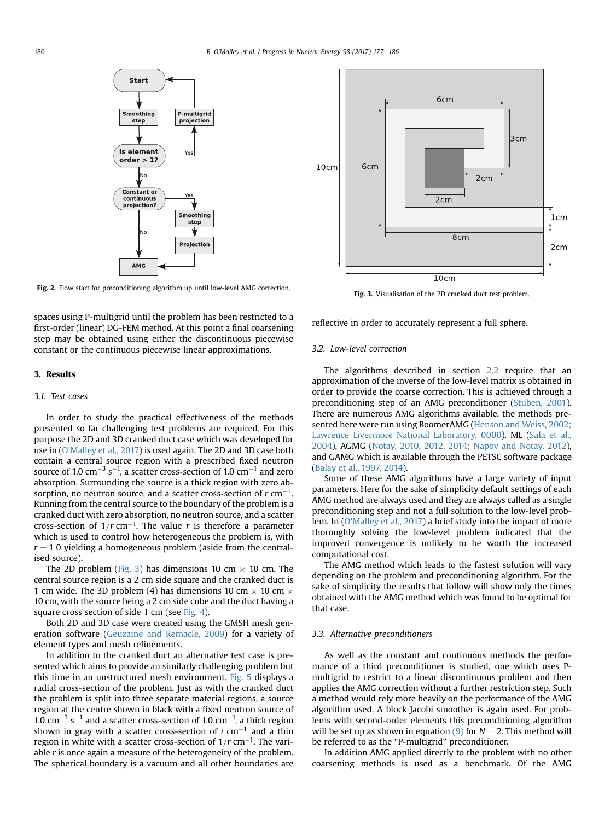<span id="page-3-0"></span>

Fig. 2. Flow start for preconditioning algorithm up until low-level AMG correction.<br>Fig. 3. Visualisation of the 2D cranked duct test problem.

spaces using P-multigrid until the problem has been restricted to a first-order (linear) DG-FEM method. At this point a final coarsening step may be obtained using either the discontinuous piecewise constant or the continuous piecewise linear approximations.

# 3. Results

# 3.1. Test cases

In order to study the practical effectiveness of the methods presented so far challenging test problems are required. For this purpose the 2D and 3D cranked duct case which was developed for use in ([O'Malley et al., 2017\)](#page-9-0) is used again. The 2D and 3D case both contain a central source region with a prescribed fixed neutron source of 1.0 cm $^{-3}$  s $^{-1}$ , a scatter cross-section of 1.0 cm $^{-1}$  and zero absorption. Surrounding the source is a thick region with zero absorption, no neutron source, and a scatter cross-section of  $r \, \text{cm}^{-1}$ . Running from the central source to the boundary of the problem is a cranked duct with zero absorption, no neutron source, and a scatter cross-section of  $1/r$  cm<sup>-1</sup>. The value r is therefore a parameter which is used to control how heterogeneous the problem is, with  $r = 1.0$  yielding a homogeneous problem (aside from the centralised source).

The 2D problem (Fig. 3) has dimensions 10 cm  $\times$  10 cm. The central source region is a 2 cm side square and the cranked duct is 1 cm wide. The 3D problem (4) has dimensions 10 cm  $\times$  10 cm  $\times$ 10 cm, with the source being a 2 cm side cube and the duct having a square cross section of side 1 cm (see [Fig. 4\)](#page-4-0).

Both 2D and 3D case were created using the GMSH mesh generation software [\(Geuzaine and Remacle, 2009](#page-9-0)) for a variety of element types and mesh refinements.

In addition to the cranked duct an alternative test case is presented which aims to provide an similarly challenging problem but this time in an unstructured mesh environment. [Fig. 5](#page-4-0) displays a radial cross-section of the problem. Just as with the cranked duct the problem is split into three separate material regions, a source region at the centre shown in black with a fixed neutron source of 1.0 cm<sup>-3</sup> s<sup>-1</sup> and a scatter cross-section of 1.0 cm<sup>-1</sup>, a thick region shown in gray with a scatter cross-section of  $r$  cm<sup>-1</sup> and a thin region in white with a scatter cross-section of  $1/r$  cm<sup>-1</sup>. The variable r is once again a measure of the heterogeneity of the problem. The spherical boundary is a vacuum and all other boundaries are



reflective in order to accurately represent a full sphere.

# 3.2. Low-level correction

The algorithms described in section [2.2](#page-2-0) require that an approximation of the inverse of the low-level matrix is obtained in order to provide the coarse correction. This is achieved through a preconditioning step of an AMG preconditioner ([Stuben, 2001\)](#page-9-0). There are numerous AMG algorithms available, the methods presented here were run using BoomerAMG [\(Henson and Weiss, 2002;](#page-9-0) [Lawrence Livermore National Laboratory,](#page-9-0) 0000), ML [\(Sala et al.,](#page-9-0) [2004](#page-9-0)), AGMG [\(Notay, 2010, 2012, 2014; Napov and Notay, 2012\)](#page-9-0), and GAMG which is available through the PETSC software package ([Balay et al., 1997, 2014\)](#page-9-0).

Some of these AMG algorithms have a large variety of input parameters. Here for the sake of simplicity default settings of each AMG method are always used and they are always called as a single preconditioning step and not a full solution to the low-level problem. In [\(O'Malley et al., 2017\)](#page-9-0) a brief study into the impact of more thoroughly solving the low-level problem indicated that the improved convergence is unlikely to be worth the increased computational cost.

The AMG method which leads to the fastest solution will vary depending on the problem and preconditioning algorithm. For the sake of simplicity the results that follow will show only the times obtained with the AMG method which was found to be optimal for that case.

# 3.3. Alternative preconditioners

As well as the constant and continuous methods the performance of a third preconditioner is studied, one which uses Pmultigrid to restrict to a linear discontinuous problem and then applies the AMG correction without a further restriction step. Such a method would rely more heavily on the performance of the AMG algorithm used. A block Jacobi smoother is again used. For problems with second-order elements this preconditioning algorithm will be set up as shown in equation [\(9\)](#page-2-0) for  $N = 2$ . This method will be referred to as the "P-multigrid" preconditioner.

In addition AMG applied directly to the problem with no other coarsening methods is used as a benchmark. Of the AMG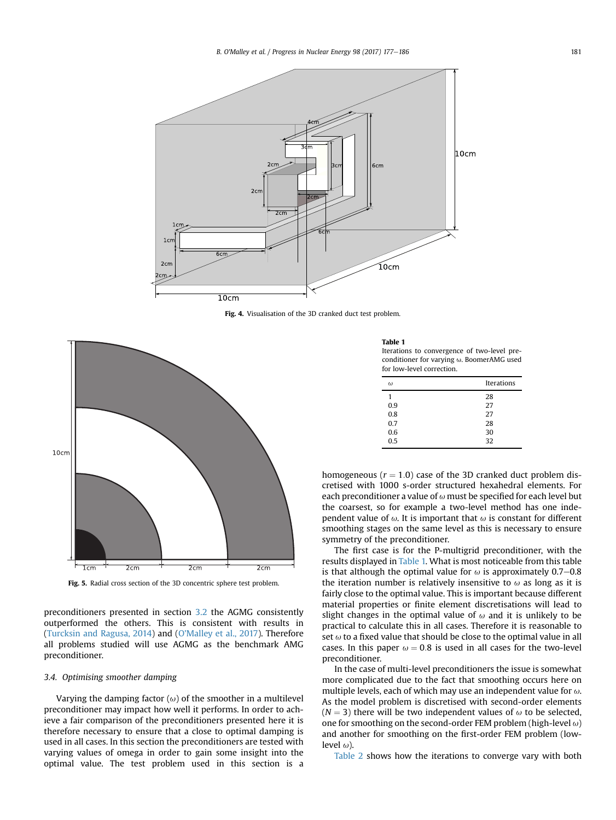<span id="page-4-0"></span>

Fig. 4. Visualisation of the 3D cranked duct test problem.



Fig. 5. Radial cross section of the 3D concentric sphere test problem.

preconditioners presented in section [3.2](#page-3-0) the AGMG consistently outperformed the others. This is consistent with results in ([Turcksin and Ragusa, 2014\)](#page-9-0) and ([O'Malley et al., 2017\)](#page-9-0). Therefore all problems studied will use AGMG as the benchmark AMG preconditioner.

#### 3.4. Optimising smoother damping

Varying the damping factor  $(\omega)$  of the smoother in a multilevel preconditioner may impact how well it performs. In order to achieve a fair comparison of the preconditioners presented here it is therefore necessary to ensure that a close to optimal damping is used in all cases. In this section the preconditioners are tested with varying values of omega in order to gain some insight into the optimal value. The test problem used in this section is a

Table 1

Iterations to convergence of two-level preconditioner for varying  $\omega$ . BoomerAMG used for low-level correction.

| $\omega$ | <b>Iterations</b> |
|----------|-------------------|
| 1        | 28                |
| 0.9      | 27                |
| 0.8      | 27                |
| 0.7      | 28                |
| 0.6      | 30                |
| 0.5      | 32                |

homogeneous ( $r = 1.0$ ) case of the 3D cranked duct problem discretised with 1000 s-order structured hexahedral elements. For each preconditioner a value of  $\omega$  must be specified for each level but the coarsest, so for example a two-level method has one independent value of  $\omega$ . It is important that  $\omega$  is constant for different smoothing stages on the same level as this is necessary to ensure symmetry of the preconditioner.

The first case is for the P-multigrid preconditioner, with the results displayed in Table 1. What is most noticeable from this table is that although the optimal value for  $\omega$  is approximately 0.7–0.8 the iteration number is relatively insensitive to  $\omega$  as long as it is fairly close to the optimal value. This is important because different material properties or finite element discretisations will lead to slight changes in the optimal value of  $\omega$  and it is unlikely to be practical to calculate this in all cases. Therefore it is reasonable to set  $\omega$  to a fixed value that should be close to the optimal value in all cases. In this paper  $\omega = 0.8$  is used in all cases for the two-level preconditioner.

In the case of multi-level preconditioners the issue is somewhat more complicated due to the fact that smoothing occurs here on multiple levels, each of which may use an independent value for  $\omega$ . As the model problem is discretised with second-order elements  $(N = 3)$  there will be two independent values of  $\omega$  to be selected, one for smoothing on the second-order FEM problem (high-level  $\omega$ ) and another for smoothing on the first-order FEM problem (lowlevel  $\omega$ ).

[Table 2](#page-5-0) shows how the iterations to converge vary with both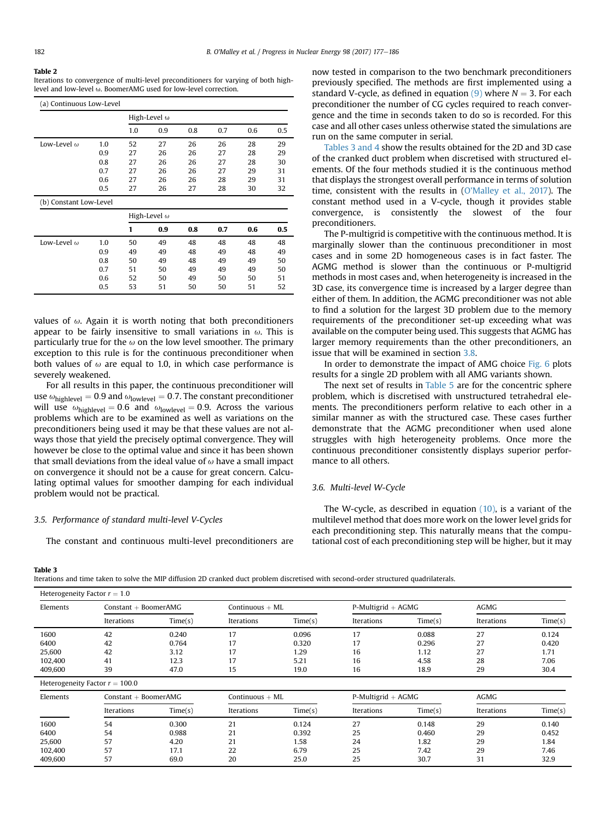#### <span id="page-5-0"></span>Table 2

Iterations to convergence of multi-level preconditioners for varying of both highlevel and low-level  $\omega$ . BoomerAMG used for low-level correction.

| (a) Continuous Low-Level |     |     |                     |     |     |     |     |
|--------------------------|-----|-----|---------------------|-----|-----|-----|-----|
|                          |     |     | High-Level $\omega$ |     |     |     |     |
|                          |     | 1.0 | 0.9                 | 0.8 | 0.7 | 0.6 | 0.5 |
| Low-Level $\omega$       | 1.0 | 52  | 27                  | 26  | 26  | 28  | 29  |
|                          | 0.9 | 27  | 26                  | 26  | 27  | 28  | 29  |
|                          | 0.8 | 27  | 26                  | 26  | 27  | 28  | 30  |
|                          | 0.7 | 27  | 26                  | 26  | 27  | 29  | 31  |
|                          | 0.6 | 27  | 26                  | 26  | 28  | 29  | 31  |
|                          | 0.5 | 27  | 26                  | 27  | 28  | 30  | 32  |
| (b) Constant Low-Level   |     |     |                     |     |     |     |     |
|                          |     |     | High-Level $\omega$ |     |     |     |     |
|                          |     | 1   | 0.9                 | 0.8 | 0.7 | 0.6 | 0.5 |
| Low-Level $\omega$       | 1.0 | 50  | 49                  | 48  | 48  | 48  | 48  |
|                          | 0.9 | 49  | 49                  | 48  | 49  | 48  | 49  |
|                          | 0.8 | 50  | 49                  | 48  | 49  | 49  | 50  |
|                          | 0.7 | 51  | 50                  | 49  | 49  | 49  | 50  |
|                          | 0.6 | 52  | 50                  | 49  | 50  | 50  | 51  |
|                          | 0.5 | 53  | 51                  | 50  | 50  | 51  | 52  |

values of  $\omega$ . Again it is worth noting that both preconditioners appear to be fairly insensitive to small variations in  $\omega$ . This is particularly true for the  $\omega$  on the low level smoother. The primary exception to this rule is for the continuous preconditioner when both values of  $\omega$  are equal to 1.0, in which case performance is severely weakened.

For all results in this paper, the continuous preconditioner will use  $\omega_{\text{highlevel}} = 0.9$  and  $\omega_{\text{lowlevel}} = 0.7$ . The constant preconditioner will use  $\omega_{\text{highlevel}} = 0.6$  and  $\omega_{\text{lowlevel}} = 0.9$ . Across the various problems which are to be examined as well as variations on the preconditioners being used it may be that these values are not always those that yield the precisely optimal convergence. They will however be close to the optimal value and since it has been shown that small deviations from the ideal value of  $\omega$  have a small impact on convergence it should not be a cause for great concern. Calculating optimal values for smoother damping for each individual problem would not be practical.

# 3.5. Performance of standard multi-level V-Cycles

The constant and continuous multi-level preconditioners are

now tested in comparison to the two benchmark preconditioners previously specified. The methods are first implemented using a standard V-cycle, as defined in equation  $(9)$  where  $N = 3$ . For each preconditioner the number of CG cycles required to reach convergence and the time in seconds taken to do so is recorded. For this case and all other cases unless otherwise stated the simulations are run on the same computer in serial.

Tables 3 and 4 show the results obtained for the 2D and 3D case of the cranked duct problem when discretised with structured elements. Of the four methods studied it is the continuous method that displays the strongest overall performance in terms of solution time, consistent with the results in [\(O'Malley et al., 2017](#page-9-0)). The constant method used in a V-cycle, though it provides stable convergence, is consistently the slowest of the four preconditioners.

The P-multigrid is competitive with the continuous method. It is marginally slower than the continuous preconditioner in most cases and in some 2D homogeneous cases is in fact faster. The AGMG method is slower than the continuous or P-multigrid methods in most cases and, when heterogeneity is increased in the 3D case, its convergence time is increased by a larger degree than either of them. In addition, the AGMG preconditioner was not able to find a solution for the largest 3D problem due to the memory requirements of the preconditioner set-up exceeding what was available on the computer being used. This suggests that AGMG has larger memory requirements than the other preconditioners, an issue that will be examined in section [3.8.](#page-7-0)

In order to demonstrate the impact of AMG choice [Fig. 6](#page-6-0) plots results for a single 2D problem with all AMG variants shown.

The next set of results in [Table 5](#page-7-0) are for the concentric sphere problem, which is discretised with unstructured tetrahedral elements. The preconditioners perform relative to each other in a similar manner as with the structured case. These cases further demonstrate that the AGMG preconditioner when used alone struggles with high heterogeneity problems. Once more the continuous preconditioner consistently displays superior performance to all others.

# 3.6. Multi-level W-Cycle

The W-cycle, as described in equation [\(10\),](#page-2-0) is a variant of the multilevel method that does more work on the lower level grids for each preconditioning step. This naturally means that the computational cost of each preconditioning step will be higher, but it may

#### Table 3

Iterations and time taken to solve the MIP diffusion 2D cranked duct problem discretised with second-order structured quadrilaterals.

| Elements | $Constant + BoomerAMG$ |         | Continuous $+ML$ |         | $P-Multigrid + AGMG$ |         | <b>AGMG</b> |         |
|----------|------------------------|---------|------------------|---------|----------------------|---------|-------------|---------|
|          | Iterations             | Time(s) | Iterations       | Time(s) | Iterations           | Time(s) | Iterations  | Time(s) |
| 1600     | 42                     | 0.240   |                  | 0.096   | 17                   | 0.088   | 27          | 0.124   |
| 6400     | 42                     | 0.764   |                  | 0.320   |                      | 0.296   | 27          | 0.420   |
| 25,600   | 42                     | 3.12    |                  | 1.29    | 16                   | 1.12    | 27          | 1.71    |
| 102,400  | 41                     | 12.3    |                  | 5.21    | 16                   | 4.58    | 28          | 7.06    |
| 409,600  | 39                     | 47.0    | 15               | 19.0    | 16                   | 18.9    | 29          | 30.4    |

Heterogeneity Factor  $r = 100.0$ 

| Elements |            | $Constant + BoomerAMG$ |            | Continuous $+ML$ |            | $P-Multigrid + AGMG$ |            | <b>AGMG</b> |  |
|----------|------------|------------------------|------------|------------------|------------|----------------------|------------|-------------|--|
|          | Iterations | Time(s)                | Iterations | Time(s)          | Iterations | Time(s)              | Iterations | Time(s)     |  |
| 1600     | 54         | 0.300                  | 21         | 0.124            | 27         | 0.148                | 29         | 0.140       |  |
| 6400     | 54         | 0.988                  | 21         | 0.392            | 25         | 0.460                | 29         | 0.452       |  |
| 25,600   | 57         | 4.20                   | 21         | 1.58             | 24         | 1.82                 | 29         | 1.84        |  |
| 102,400  | 57         | 17.1                   | 22         | 6.79             | 25         | 7.42                 | 29         | 7.46        |  |
| 409,600  | 57         | 69.0                   | 20         | 25.0             | 25         | 30.7                 | 31         | 32.9        |  |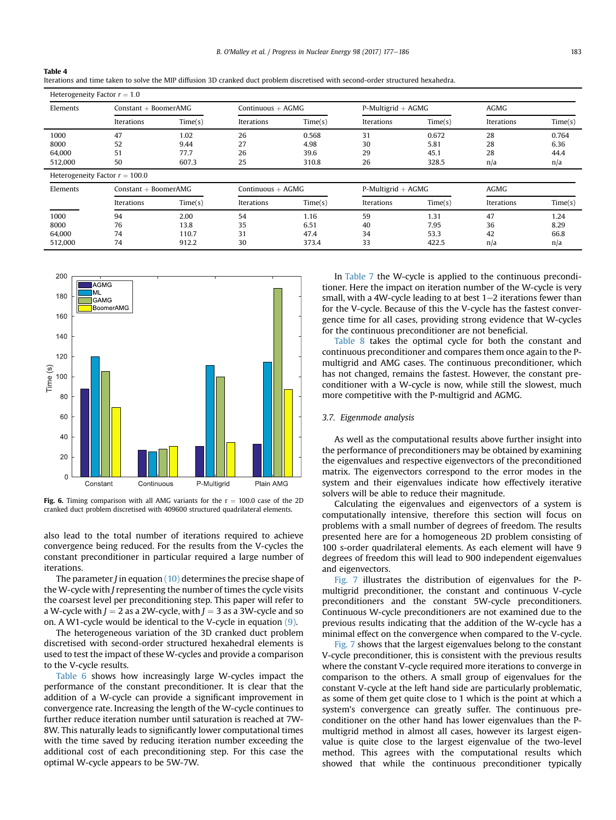Iterations and time taken to solve the MIP diffusion 3D cranked duct problem discretised with second-order structured hexahedra.

| Heterogeneity Factor $r = 1.0$ |                                  |                        |                     |                     |                      |                      |             |             |  |
|--------------------------------|----------------------------------|------------------------|---------------------|---------------------|----------------------|----------------------|-------------|-------------|--|
| Elements                       |                                  | $Constant + BoomerAMG$ |                     | Continuous $+ AGMG$ |                      | $P-Multigrid + AGMG$ |             | <b>AGMG</b> |  |
|                                | Iterations                       | Time(s)                | Iterations          | Time(s)             | Iterations           | Time(s)              | Iterations  | Time(s)     |  |
| 1000                           | 47                               | 1.02                   | 26                  | 0.568               | 31                   | 0.672                | 28          | 0.764       |  |
| 8000                           | 52                               | 9.44                   | 27                  | 4.98                | 30                   | 5.81                 | 28          | 6.36        |  |
| 64,000                         | 51                               | 77.7                   | 26                  | 39.6                | 29                   | 45.1                 | 28          | 44.4        |  |
| 512,000                        | 50                               | 607.3                  | 25                  | 310.8               | 26                   | 328.5                | n/a         | n/a         |  |
|                                | Heterogeneity Factor $r = 100.0$ |                        |                     |                     |                      |                      |             |             |  |
| Elements                       | $Constant + BoomerAMG$           |                        | Continuous $+ AGMG$ |                     | $P-Multigrid + AGMG$ |                      | <b>AGMG</b> |             |  |
|                                | Iterations                       | Time(s)                | Iterations          | Time(s)             | Iterations           | Time(s)              | Iterations  | Time(s)     |  |
| 1000                           | 94                               | 2.00                   | 54                  | 1.16                | 59                   | 1.31                 | 47          | 1.24        |  |
| 8000                           | 76                               | 13.8                   | 35                  | 6.51                | 40                   | 7.95                 | 36          | 8.29        |  |
| 64,000                         | 74                               | 110.7                  | 31                  | 47.4                | 34                   | 53.3                 | 42          | 66.8        |  |
| 512,000                        | 74                               | 912.2                  | 30                  | 373.4               | 33                   | 422.5                | n/a         | n/a         |  |



<span id="page-6-0"></span>Table 4

Fig. 6. Timing comparison with all AMG variants for the  $r = 100.0$  case of the 2D cranked duct problem discretised with 409600 structured quadrilateral elements.

also lead to the total number of iterations required to achieve convergence being reduced. For the results from the V-cycles the constant preconditioner in particular required a large number of iterations.

The parameter *J* in equation  $(10)$  determines the precise shape of the W-cycle with J representing the number of times the cycle visits the coarsest level per preconditioning step. This paper will refer to a W-cycle with  $J = 2$  as a 2W-cycle, with  $J = 3$  as a 3W-cycle and so on. A W1-cycle would be identical to the V-cycle in equation [\(9\)](#page-2-0).

The heterogeneous variation of the 3D cranked duct problem discretised with second-order structured hexahedral elements is used to test the impact of these W-cycles and provide a comparison to the V-cycle results.

[Table 6](#page-7-0) shows how increasingly large W-cycles impact the performance of the constant preconditioner. It is clear that the addition of a W-cycle can provide a significant improvement in convergence rate. Increasing the length of the W-cycle continues to further reduce iteration number until saturation is reached at 7W-8W. This naturally leads to significantly lower computational times with the time saved by reducing iteration number exceeding the additional cost of each preconditioning step. For this case the optimal W-cycle appears to be 5W-7W.

In [Table 7](#page-7-0) the W-cycle is applied to the continuous preconditioner. Here the impact on iteration number of the W-cycle is very small, with a 4W-cycle leading to at best  $1-2$  iterations fewer than for the V-cycle. Because of this the V-cycle has the fastest convergence time for all cases, providing strong evidence that W-cycles for the continuous preconditioner are not beneficial.

[Table 8](#page-7-0) takes the optimal cycle for both the constant and continuous preconditioner and compares them once again to the Pmultigrid and AMG cases. The continuous preconditioner, which has not changed, remains the fastest. However, the constant preconditioner with a W-cycle is now, while still the slowest, much more competitive with the P-multigrid and AGMG.

# 3.7. Eigenmode analysis

As well as the computational results above further insight into the performance of preconditioners may be obtained by examining the eigenvalues and respective eigenvectors of the preconditioned matrix. The eigenvectors correspond to the error modes in the system and their eigenvalues indicate how effectively iterative solvers will be able to reduce their magnitude.

Calculating the eigenvalues and eigenvectors of a system is computationally intensive, therefore this section will focus on problems with a small number of degrees of freedom. The results presented here are for a homogeneous 2D problem consisting of 100 s-order quadrilateral elements. As each element will have 9 degrees of freedom this will lead to 900 independent eigenvalues and eigenvectors.

[Fig. 7](#page-8-0) illustrates the distribution of eigenvalues for the Pmultigrid preconditioner, the constant and continuous V-cycle preconditioners and the constant 5W-cycle preconditioners. Continuous W-cycle preconditioners are not examined due to the previous results indicating that the addition of the W-cycle has a minimal effect on the convergence when compared to the V-cycle.

[Fig. 7](#page-8-0) shows that the largest eigenvalues belong to the constant V-cycle preconditioner, this is consistent with the previous results where the constant V-cycle required more iterations to converge in comparison to the others. A small group of eigenvalues for the constant V-cycle at the left hand side are particularly problematic, as some of them get quite close to 1 which is the point at which a system's convergence can greatly suffer. The continuous preconditioner on the other hand has lower eigenvalues than the Pmultigrid method in almost all cases, however its largest eigenvalue is quite close to the largest eigenvalue of the two-level method. This agrees with the computational results which showed that while the continuous preconditioner typically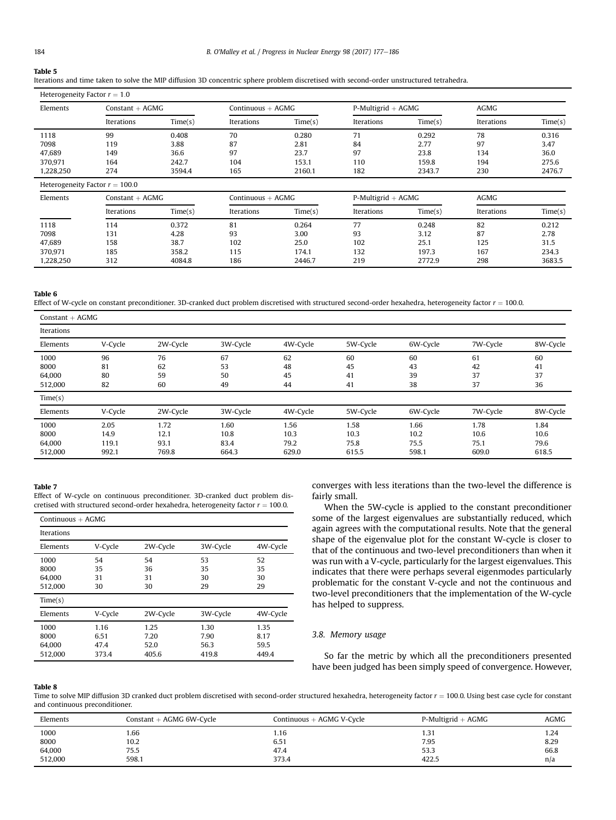### <span id="page-7-0"></span>Table 5

# Heterogeneity Factor  $r = 1.0$

| Elements  | $Constant + AGMG$ |         |            | Continuous $+$ AGMG |            | $P-Multigrid + AGMG$ |            | <b>AGMG</b> |  |
|-----------|-------------------|---------|------------|---------------------|------------|----------------------|------------|-------------|--|
|           | Iterations        | Time(s) | Iterations | Time(s)             | Iterations | Time(s)              | Iterations | Time(s)     |  |
| 1118      | 99                | 0.408   | 70         | 0.280               | 71         | 0.292                | 78         | 0.316       |  |
| 7098      | 119               | 3.88    | 87         | 2.81                | 84         | 2.77                 | 97         | 3.47        |  |
| 47.689    | 149               | 36.6    | 97         | 23.7                | 97         | 23.8                 | 134        | 36.0        |  |
| 370.971   | 164               | 242.7   | 104        | 153.1               | 110        | 159.8                | 194        | 275.6       |  |
| 1,228,250 | 274               | 3594.4  | 165        | 2160.1              | 182        | 2343.7               | 230        | 2476.7      |  |

| Elements  | $Constant + AGMG$ |         | Continuous $+$ AGMG |         | $P-Multigrid + AGMG$ |         | <b>AGMG</b> |         |
|-----------|-------------------|---------|---------------------|---------|----------------------|---------|-------------|---------|
|           | Iterations        | Time(s) | Iterations          | Time(s) | Iterations           | Time(s) | Iterations  | Time(s) |
| 1118      | 114               | 0.372   | 81                  | 0.264   |                      | 0.248   | 82          | 0.212   |
| 7098      | 131               | 4.28    | 93                  | 3.00    | 93                   | 3.12    | 87          | 2.78    |
| 47.689    | 158               | 38.7    | 102                 | 25.0    | 102                  | 25.1    | 125         | 31.5    |
| 370,971   | 185               | 358.2   | 115                 | 174.1   | 132                  | 197.3   | 167         | 234.3   |
| 1,228,250 | 312               | 4084.8  | 186                 | 2446.7  | 219                  | 2772.9  | 298         | 3683.5  |

#### Table 6

Effect of W-cycle on constant preconditioner. 3D-cranked duct problem discretised with structured second-order hexahedra, heterogeneity factor  $r = 100.0$ .

| $Constant + AGMG$ |         |          |          |          |          |          |          |          |
|-------------------|---------|----------|----------|----------|----------|----------|----------|----------|
| Iterations        |         |          |          |          |          |          |          |          |
| Elements          | V-Cycle | 2W-Cycle | 3W-Cycle | 4W-Cycle | 5W-Cycle | 6W-Cycle | 7W-Cycle | 8W-Cycle |
| 1000              | 96      | 76       | 67       | 62       | 60       | 60       | 61       | 60       |
| 8000              | 81      | 62       | 53       | 48       | 45       | 43       | 42       | 41       |
| 64,000            | 80      | 59       | 50       | 45       | 41       | 39       | 37       | 37       |
| 512,000           | 82      | 60       | 49       | 44       | 41       | 38       | 37       | 36       |
| Time(s)           |         |          |          |          |          |          |          |          |
| Elements          | V-Cycle | 2W-Cycle | 3W-Cycle | 4W-Cycle | 5W-Cycle | 6W-Cycle | 7W-Cycle | 8W-Cycle |
| 1000              | 2.05    | 1.72     | 1.60     | 1.56     | 1.58     | 1.66     | 1.78     | 1.84     |
| 8000              | 14.9    | 12.1     | 10.8     | 10.3     | 10.3     | 10.2     | 10.6     | 10.6     |
| 64,000            | 119.1   | 93.1     | 83.4     | 79.2     | 75.8     | 75.5     | 75.1     | 79.6     |
| 512,000           | 992.1   | 769.8    | 664.3    | 629.0    | 615.5    | 598.1    | 609.0    | 618.5    |

# Table 7

Effect of W-cycle on continuous preconditioner. 3D-cranked duct problem discretised with structured second-order hexahedra, heterogeneity factor  $r = 100.0$ .

|                                   | Continuous $+ AGMG$           |                               |                               |                               |  |  |  |
|-----------------------------------|-------------------------------|-------------------------------|-------------------------------|-------------------------------|--|--|--|
| Iterations                        |                               |                               |                               |                               |  |  |  |
| Elements                          | V-Cycle                       | 2W-Cycle                      | 3W-Cycle                      | 4W-Cycle                      |  |  |  |
| 1000<br>8000<br>64.000<br>512.000 | 54<br>35<br>31<br>30          | 54<br>36<br>31<br>30          | 53<br>35<br>30<br>29          | 52<br>35<br>30<br>29          |  |  |  |
| Time(s)                           |                               |                               |                               |                               |  |  |  |
| Elements                          | V-Cycle                       | 2W-Cycle                      | 3W-Cycle                      | 4W-Cycle                      |  |  |  |
| 1000<br>8000<br>64.000<br>512.000 | 1.16<br>6.51<br>47.4<br>373.4 | 1.25<br>7.20<br>52.0<br>405.6 | 1.30<br>7.90<br>56.3<br>419.8 | 1.35<br>8.17<br>59.5<br>449.4 |  |  |  |

converges with less iterations than the two-level the difference is fairly small.

When the 5W-cycle is applied to the constant preconditioner some of the largest eigenvalues are substantially reduced, which again agrees with the computational results. Note that the general shape of the eigenvalue plot for the constant W-cycle is closer to that of the continuous and two-level preconditioners than when it was run with a V-cycle, particularly for the largest eigenvalues. This indicates that there were perhaps several eigenmodes particularly problematic for the constant V-cycle and not the continuous and two-level preconditioners that the implementation of the W-cycle has helped to suppress.

# 3.8. Memory usage

So far the metric by which all the preconditioners presented have been judged has been simply speed of convergence. However,

#### Table 8

Time to solve MIP diffusion 3D cranked duct problem discretised with second-order structured hexahedra, heterogeneity factor  $r = 100.0$ . Using best case cycle for constant and continuous preconditioner.

| Elements | Constant $+$ AGMG 6W-Cycle | Continuous $+$ AGMG V-Cycle | $P-Multigrid + AGMG$ | <b>AGMG</b> |
|----------|----------------------------|-----------------------------|----------------------|-------------|
| 1000     | 1.66                       | 1.16                        | 1.31                 | 1.24        |
| 8000     | 10.2                       | 6.51                        | 7.95                 | 8.29        |
| 64,000   | 75.5                       | 47.4                        | 53.3                 | 66.8        |
| 512,000  | 598.1                      | 373.4                       | 422.5                | n/a         |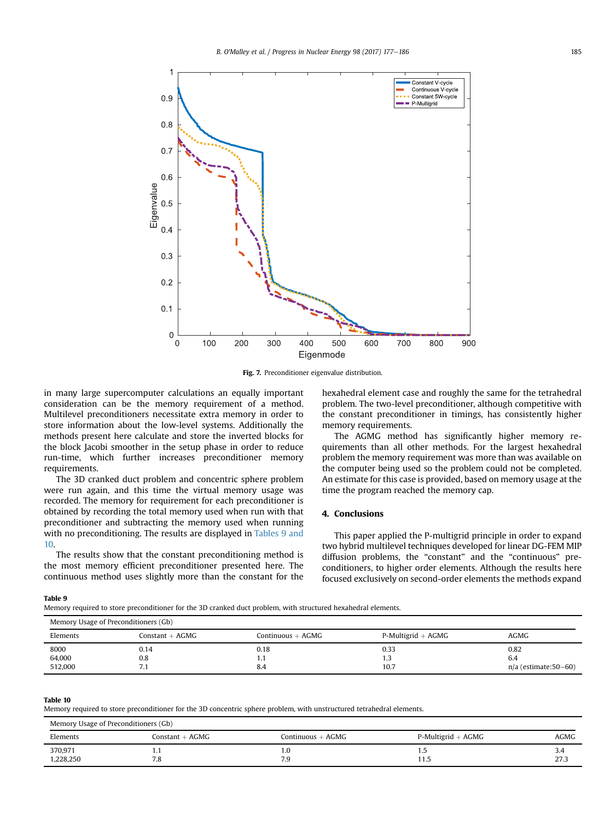<span id="page-8-0"></span>

Fig. 7. Preconditioner eigenvalue distribution.

in many large supercomputer calculations an equally important consideration can be the memory requirement of a method. Multilevel preconditioners necessitate extra memory in order to store information about the low-level systems. Additionally the methods present here calculate and store the inverted blocks for the block Jacobi smoother in the setup phase in order to reduce run-time, which further increases preconditioner memory requirements.

The 3D cranked duct problem and concentric sphere problem were run again, and this time the virtual memory usage was recorded. The memory for requirement for each preconditioner is obtained by recording the total memory used when run with that preconditioner and subtracting the memory used when running with no preconditioning. The results are displayed in Tables 9 and 10.

The results show that the constant preconditioning method is the most memory efficient preconditioner presented here. The continuous method uses slightly more than the constant for the hexahedral element case and roughly the same for the tetrahedral problem. The two-level preconditioner, although competitive with the constant preconditioner in timings, has consistently higher memory requirements.

The AGMG method has significantly higher memory requirements than all other methods. For the largest hexahedral problem the memory requirement was more than was available on the computer being used so the problem could not be completed. An estimate for this case is provided, based on memory usage at the time the program reached the memory cap.

# 4. Conclusions

This paper applied the P-multigrid principle in order to expand two hybrid multilevel techniques developed for linear DG-FEM MIP diffusion problems, the "constant" and the "continuous" preconditioners, to higher order elements. Although the results here focused exclusively on second-order elements the methods expand

Table 9

Memory required to store preconditioner for the 3D cranked duct problem, with structured hexahedral elements.

| Memory Usage of Preconditioners (Gb) |                 |                     |                      |                      |  |  |  |
|--------------------------------------|-----------------|---------------------|----------------------|----------------------|--|--|--|
| Elements                             | Constant + AGMG | Continuous $+ AGMG$ | $P-Multigrid + AGMG$ | AGMG                 |  |  |  |
| 8000                                 | 0.14            | 0.18                | 0.33                 | 0.82                 |  |  |  |
| 64,000                               | 0.8             | 1.1                 | 1.3                  | 6.4                  |  |  |  |
| 512,000                              | 7.1             | 8.4                 | 10.7                 | n/a (estimate:50–60) |  |  |  |

#### Table 10

Memory required to store preconditioner for the 3D concentric sphere problem, with unstructured tetrahedral elements.

| Memory Usage of Preconditioners (Gb) |                   |                     |                      |      |
|--------------------------------------|-------------------|---------------------|----------------------|------|
| Elements                             | Constant $+$ AGMG | $Continuous + AGMG$ | $P-Multigrid + AGMG$ | AGMG |
| 370,971                              |                   | 1.0                 | ں 1                  | 3.4  |
| 1,228,250                            | 7.8               | 7.9                 | 11.5                 | 27.3 |